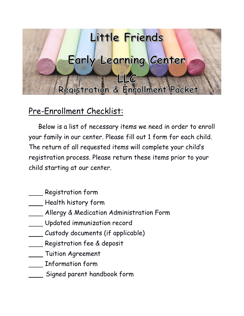

# Pre-Enrollment Checklist:

 Below is a list of necessary items we need in order to enroll your family in our center. Please fill out 1 form for each child. The return of all requested items will complete your child's registration process. Please return these items prior to your child starting at our center.

- Registration form
- $\mathcal{L}$  Health history form
- Allergy & Medication Administration Form
- Updated immunization record
- Custody documents (if applicable)
- Registration fee & deposit
- **Tuition Agreement**
- Information form
- Signed parent handbook form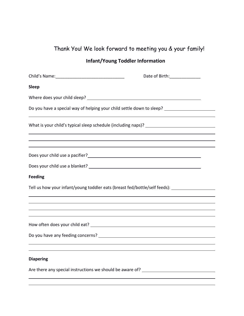## Thank You! We look forward to meeting you & your family!

## **Infant/Young Toddler Information**

|                                                                                                                                                                                                                                        | Date of Birth: _______________ |
|----------------------------------------------------------------------------------------------------------------------------------------------------------------------------------------------------------------------------------------|--------------------------------|
| <b>Sleep</b>                                                                                                                                                                                                                           |                                |
|                                                                                                                                                                                                                                        |                                |
| Do you have a special way of helping your child settle down to sleep? _________________                                                                                                                                                |                                |
|                                                                                                                                                                                                                                        |                                |
| ,我们也不会有什么。""我们的人,我们也不会有什么?""我们的人,我们也不会有什么?""我们的人,我们也不会有什么?""我们的人,我们也不会有什么?""我们的人                                                                                                                                                       |                                |
| Does your child use a pacifier?<br><u> Looksen and the second contract of the second contract of the second contract of the second contract of the second contract of the second contract of the second contract of the second con</u> |                                |
|                                                                                                                                                                                                                                        |                                |
| <b>Feeding</b>                                                                                                                                                                                                                         |                                |
| Tell us how your infant/young toddler eats (breast fed/bottle/self feeds): ________________________                                                                                                                                    |                                |
|                                                                                                                                                                                                                                        |                                |
|                                                                                                                                                                                                                                        |                                |
|                                                                                                                                                                                                                                        |                                |
|                                                                                                                                                                                                                                        |                                |
|                                                                                                                                                                                                                                        |                                |
| <b>Diapering</b>                                                                                                                                                                                                                       |                                |
| Are there any special instructions we should be aware of? ______________________                                                                                                                                                       |                                |
|                                                                                                                                                                                                                                        |                                |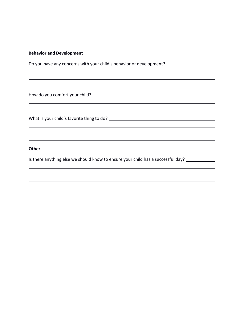#### **Behavior and Development**

Do you have any concerns with your child's behavior or development? \_\_\_\_\_\_\_\_\_\_\_\_\_\_\_\_\_\_\_

How do you comfort your child?

What is your child's favorite thing to do?

**Other**

Is there anything else we should know to ensure your child has a successful day? \_\_\_\_\_\_\_\_\_\_\_\_\_\_\_\_\_\_\_\_\_\_\_\_\_\_\_\_\_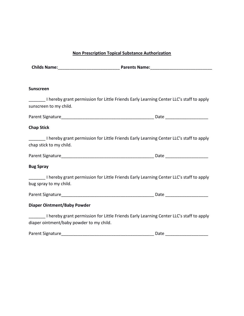#### **Non Prescription Topical Substance Authorization**

| <b>Childs Name:</b> | <b>Parents Name:</b> |
|---------------------|----------------------|
|                     |                      |

#### **Sunscreen**

| Letter Harry grant permission for Little Friends Early Learning Center LLC's staff to apply                                                                         |  |
|---------------------------------------------------------------------------------------------------------------------------------------------------------------------|--|
| sunscreen to my child.                                                                                                                                              |  |
|                                                                                                                                                                     |  |
| <b>Chap Stick</b>                                                                                                                                                   |  |
| Lessen in the Friends Early Learning Center LLC's staff to apply Lessenger and Little Friends Early Learning Center LLC's staff to apply<br>chap stick to my child. |  |
|                                                                                                                                                                     |  |
| <b>Bug Spray</b>                                                                                                                                                    |  |
| Lessen in the Singham paramission for Little Friends Early Learning Center LLC's staff to apply<br>bug spray to my child.                                           |  |
|                                                                                                                                                                     |  |
| Diaper Ointment/Baby Powder                                                                                                                                         |  |

\_\_\_\_\_\_\_ I hereby grant permission for Little Friends Early Learning Center LLC's staff to apply diaper ointment/baby powder to my child.

| Parent Signature | Date |
|------------------|------|
|                  |      |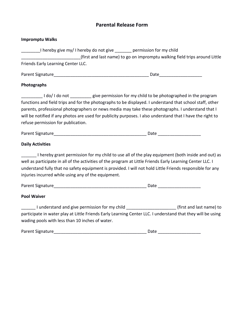#### **Parental Release Form**

| <b>Impromptu Walks</b> |  |
|------------------------|--|
|------------------------|--|

| ________I hereby give my/ I hereby do not give _______ permission for my child                                                                                                                                  |      |                                                                                                                                                                                                               |
|-----------------------------------------------------------------------------------------------------------------------------------------------------------------------------------------------------------------|------|---------------------------------------------------------------------------------------------------------------------------------------------------------------------------------------------------------------|
|                                                                                                                                                                                                                 |      | (first and last name) to go on impromptu walking field trips around Little                                                                                                                                    |
| Friends Early Learning Center LLC.                                                                                                                                                                              |      |                                                                                                                                                                                                               |
|                                                                                                                                                                                                                 |      |                                                                                                                                                                                                               |
| Photographs                                                                                                                                                                                                     |      |                                                                                                                                                                                                               |
| I do/I do not ________ give permission for my child to be photographed in the program<br>functions and field trips and for the photographs to be displayed. I understand that school staff, other               |      |                                                                                                                                                                                                               |
| parents, professional photographers or news media may take these photographs. I understand that I<br>will be notified if any photos are used for publicity purposes. I also understand that I have the right to |      |                                                                                                                                                                                                               |
| refuse permission for publication.                                                                                                                                                                              |      |                                                                                                                                                                                                               |
|                                                                                                                                                                                                                 |      |                                                                                                                                                                                                               |
| <b>Daily Activities</b>                                                                                                                                                                                         |      |                                                                                                                                                                                                               |
| well as participate in all of the activities of the program at Little Friends Early Learning Center LLC. I<br>injuries incurred while using any of the equipment.                                               |      | I hereby grant permission for my child to use all of the play equipment (both inside and out) as<br>understand fully that no safety equipment is provided. I will not hold Little Friends responsible for any |
|                                                                                                                                                                                                                 |      |                                                                                                                                                                                                               |
| <b>Pool Waiver</b>                                                                                                                                                                                              |      |                                                                                                                                                                                                               |
|                                                                                                                                                                                                                 |      | Lacker 1 understand and give permission for my child _____________________(first and last name) to                                                                                                            |
|                                                                                                                                                                                                                 |      | participate in water play at Little Friends Early Learning Center LLC. I understand that they will be using                                                                                                   |
| wading pools with less than 10 inches of water.                                                                                                                                                                 |      |                                                                                                                                                                                                               |
| Parent Signature                                                                                                                                                                                                | Date |                                                                                                                                                                                                               |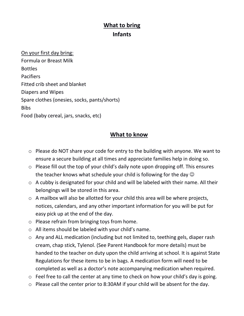## **What to bring Infants**

On your first day bring: Formula or Breast Milk Bottles Pacifiers Fitted crib sheet and blanket Diapers and Wipes Spare clothes (onesies, socks, pants/shorts) Bibs Food (baby cereal, jars, snacks, etc)

### **What to know**

- o Please do NOT share your code for entry to the building with anyone. We want to ensure a secure building at all times and appreciate families help in doing so.
- o Please fill out the top of your child's daily note upon dropping off. This ensures the teacher knows what schedule your child is following for the day  $\odot$
- o A cubby is designated for your child and will be labeled with their name. All their belongings will be stored in this area.
- o A mailbox will also be allotted for your child this area will be where projects, notices, calendars, and any other important information for you will be put for easy pick up at the end of the day.
- o Please refrain from bringing toys from home.
- o All items should be labeled with your child's name.
- o Any and ALL medication (including but not limited to, teething gels, diaper rash cream, chap stick, Tylenol. (See Parent Handbook for more details) must be handed to the teacher on duty upon the child arriving at school. It is against State Regulations for these items to be in bags. A medication form will need to be completed as well as a doctor's note accompanying medication when required.
- o Feel free to call the center at any time to check on how your child's day is going.
- o Please call the center prior to 8:30AM if your child will be absent for the day.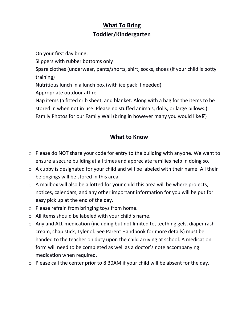## **What To Bring Toddler/Kindergarten**

On your first day bring: Slippers with rubber bottoms only Spare clothes (underwear, pants/shorts, shirt, socks, shoes (if your child is potty training) Nutritious lunch in a lunch box (with ice pack if needed) Appropriate outdoor attire Nap items (a fitted crib sheet, and blanket. Along with a bag for the items to be stored in when not in use. Please no stuffed animals, dolls, or large pillows.) Family Photos for our Family Wall (bring in however many you would like  $\mathbb{Z}$ )

### **What to Know**

- o Please do NOT share your code for entry to the building with anyone. We want to ensure a secure building at all times and appreciate families help in doing so.
- o A cubby is designated for your child and will be labeled with their name. All their belongings will be stored in this area.
- o A mailbox will also be allotted for your child this area will be where projects, notices, calendars, and any other important information for you will be put for easy pick up at the end of the day.
- o Please refrain from bringing toys from home.
- o All items should be labeled with your child's name.
- o Any and ALL medication (including but not limited to, teething gels, diaper rash cream, chap stick, Tylenol. See Parent Handbook for more details) must be handed to the teacher on duty upon the child arriving at school. A medication form will need to be completed as well as a doctor's note accompanying medication when required.
- o Please call the center prior to 8:30AM if your child will be absent for the day.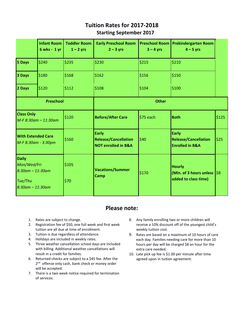### **Tuition Rates for 2017-2018 Starting September 2017**

|                                                               | <b>Infant Room</b><br>6 wks - 1 yr | <b>Toddler Room</b><br>$1 - 2$ yrs | <b>Early Preschool Room</b><br>$2 - 3$ yrs                                    | <b>Preschool Room</b><br>$3 - 4$ yrs | <b>Prekindergarten Room</b><br>$4 - 5$ yrs                                      |       |
|---------------------------------------------------------------|------------------------------------|------------------------------------|-------------------------------------------------------------------------------|--------------------------------------|---------------------------------------------------------------------------------|-------|
| 5 Days                                                        | \$240                              | \$235                              | \$230                                                                         | \$215                                | \$210                                                                           |       |
| 3 Days                                                        | \$180                              | \$168                              | \$162                                                                         | \$156                                | \$150                                                                           |       |
| 2 Days                                                        | \$120                              | \$112                              | \$108                                                                         | \$104                                | \$100                                                                           |       |
|                                                               | <b>Preschool</b>                   |                                    |                                                                               | <b>Other</b>                         |                                                                                 |       |
| <b>Class Only</b>                                             | $M-F 8:30$ am - 11:30am            | \$120                              | <b>Before/After Care</b>                                                      | $$75$ each                           | <b>Both</b>                                                                     | \$125 |
| <b>With Extended Care</b><br>M-F 8:30am - 3:30pm              |                                    | \$160                              | <b>Early</b><br><b>Release/Cancellation</b><br><b>NOT enrolled in B&amp;A</b> | \$40                                 | <b>Early</b><br><b>Release/Cancellation</b><br><b>Enrolled in B&amp;A</b>       | \$25  |
| <b>Daily</b><br>Mon/Wed/Fri<br>$8:30$ am - 11:30am<br>Tue/Thu |                                    | \$105<br>\$70                      | <b>Vacations/Summer</b><br>Camp                                               | \$170                                | <b>Hourly</b><br>(Min. of 3 hours unless $\frac{1}{58}$<br>added to class time) |       |
| $8:30$ am - 11:30am                                           |                                    |                                    |                                                                               |                                      |                                                                                 |       |

#### **Please note:**

- 1. Rates are subject to change.
- 2. Registration fee of \$50, one full week and first week tuition are all due at time of enrollment.
- 3. Tuition is due regardless of attendance.
- 4. Holidays are included in weekly rates.
- 5. Three weather cancellation school days are included with billing. Additional weather cancellations will result in a credit for families.
- 6. Returned checks are subject to a \$45 fee. After the 2<sup>nd</sup> offense only cash, bank check or money order will be accepted.
- 7. There is a two week notice required for termination of services.
- 8. Any family enrolling two or more children will receive a 10% discount off of the youngest child's weekly tuition cost.
- 9. Rates are based on a maximum of 10 hours of care each day. Families needing care for more than 10 hours per day will be charged \$8 an hour for the extra care needed.
- 10. Late pick up fee is \$1.00 per minute after time agreed upon in tuition agreement.